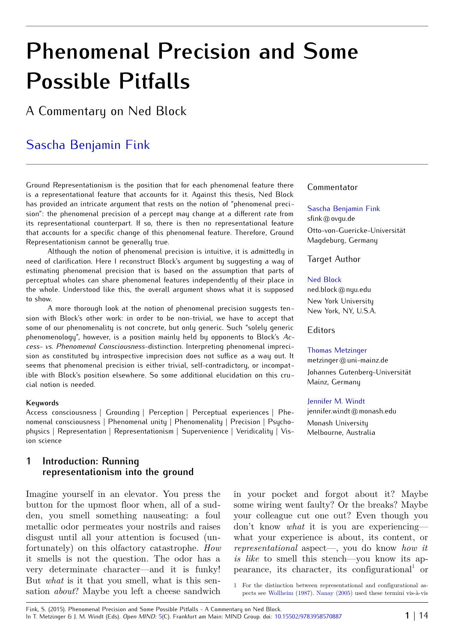# **Phenomenal Precision and Some Possible Pitfalls**

A Commentary on Ned Block

# [Sascha Benjamin Fink](http://www.open-mind.net/showAuthor?author=SaschaB_Fink)

Ground Representationism is the position that for each phenomenal feature there is a representational feature that accounts for it. Against this thesis, Ned Block has provided an intricate argument that rests on the notion of "phenomenal precision": the phenomenal precision of a percept may change at a different rate from its representational counterpart. If so, there is then no representational feature that accounts for a specific change of this phenomenal feature. Therefore, Ground Representationism cannot be generally true.

Although the notion of phenomenal precision is intuitive, it is admittedly in need of clarification. Here I reconstruct Block's argument by suggesting a way of estimating phenomenal precision that is based on the assumption that parts of perceptual wholes can share phenomenal features independently of their place in the whole. Understood like this, the overall argument shows what it is supposed to show.

A more thorough look at the notion of phenomenal precision suggests tension with Block's other work: in order to be non-trivial, we have to accept that some of our phenomenality is not concrete, but only generic. Such "solely generic phenomenology", however, is a position mainly held by opponents to Block's *Access- vs. Phenomenal Consciousness*-distinction. Interpreting phenomenal imprecision as constituted by introspective imprecision does not suffice as a way out. It seems that phenomenal precision is either trivial, self-contradictory, or incompatible with Block's position elsewhere. So some additional elucidation on this crucial notion is needed.

#### **Keywords**

Access consciousness | Grounding | Perception | Perceptual experiences | Phenomenal consciousness | Phenomenal unity | Phenomenality | Precision | Psychophysics | Representation | Representationism | Supervenience | Veridicality | Vision science

### **1 Introduction: Running representationism into the ground**

Imagine yourself in an elevator. You press the button for the upmost floor when, all of a sudden, you smell something nauseating: a foul metallic odor permeates your nostrils and raises disgust until all your attention is focused (unfortunately) on this olfactory catastrophe. *How* it smells is not the question. The odor has a very determinate character—and it is funky! But *what* is it that you smell, what is this sensation *about*? Maybe you left a cheese sandwich

#### Commentator

[Sascha Benjamin Fink](http://www.open-mind.net/showAuthor?author=SaschaB_Fink) sfink@ovgu.de     Otto-von-Guericke-Universität Magdeburg, Germany

Target Author

#### [Ned Block](http://www.open-mind.net/showAuthor?author=Ned_Block)

ned.block@nyu.edu     New York University New York, NY, U.S.A.

#### Editors

#### [Thomas Metzinger](http://www.open-mind.net/showAuthor?author=Thomas_Metzinger)

metzinger@uni-mainz.de     Johannes Gutenberg-Universität Mainz, Germany

#### [Jennifer M. Windt](http://www.open-mind.net/showAuthor?author=JenniferM_Windt)

jennifer.windt@monash.edu     Monash University Melbourne, Australia

in your pocket and forgot about it? Maybe some wiring went faulty? Or the breaks? Maybe your colleague cut one out? Even though you don't know *what* it is you are experiencing what your experience is about, its content, or *representational* aspect—, you do know *how it is like* to smell this stench—you know its ap-pearance, its character, its configurational<sup>[1](#page-0-0)</sup> or

<span id="page-0-0"></span>1 For the distinction between representational and configurational aspects see [Wollheim \(1987\)](#page-13-0). [Nanay \(2005\)](#page-12-0) used these termini vis-à-vis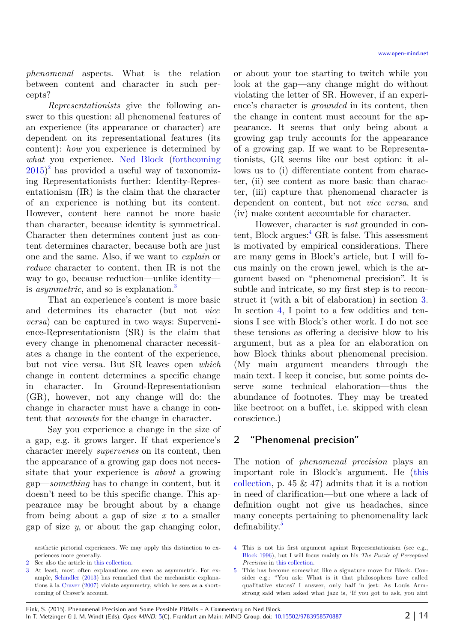*phenomenal* aspects. What is the relation between content and character in such percepts?

*Representationists* give the following answer to this question: all phenomenal features of an experience (its appearance or character) are dependent on its representational features (its content): *how* you experience is determined by *what* you experience. [Ned](#page-12-4) [Block \(forthcoming](#page-12-4)  $(2015)^2$  $(2015)^2$  $(2015)^2$  $(2015)^2$  has provided a useful way of taxonomizing Representationists further: Identity-Representationism (IR) is the claim that the character of an experience is nothing but its content. However, content here cannot be more basic than character, because identity is symmetrical. Character then determines content just as content determines character, because both are just one and the same. Also, if we want to *explain* or *reduce* character to content, then IR is not the way to go, because reduction—unlike identity is *asymmetric*, and so is explanation.<sup>[3](#page-1-1)</sup>

That an experience's content is more basic and determines its character (but not *vice versa*) can be captured in two ways: Supervenience-Representationism (SR) is the claim that every change in phenomenal character necessitates a change in the content of the experience, but not vice versa. But SR leaves open *which* change in content determines a specific change in character. In Ground-Representationism (GR), however, not any change will do: the change in character must have a change in content that *accounts* for the change in character.

Say you experience a change in the size of a gap, e.g. it grows larger. If that experience's character merely *supervenes* on its content, then the appearance of a growing gap does not necessitate that your experience is *about* a growing gap—*something* has to change in content, but it doesn't need to be this specific change. This appearance may be brought about by a change from being about a gap of size *x* to a smaller gap of size *y*, or about the gap changing color,

or about your toe starting to twitch while you look at the gap—any change might do without violating the letter of SR. However, if an experience's character is *grounded* in its content, then the change in content must account for the appearance. It seems that only being about a growing gap truly accounts for the appearance of a growing gap. If we want to be Representationists, GR seems like our best option: it allows us to (i) differentiate content from character, (ii) see content as more basic than character, (iii) capture that phenomenal character is dependent on content, but not *vice versa*, and (iv) make content accountable for character.

However, character is *not* grounded in content, Block  $argues: <sup>4</sup> GR is false$  $argues: <sup>4</sup> GR is false$  $argues: <sup>4</sup> GR is false$ . This assessment is motivated by empirical considerations. There are many gems in Block's article, but I will focus mainly on the crown jewel, which is the argument based on "phenomenal precision". It is subtle and intricate, so my first step is to reconstruct it (with a bit of elaboration) in section [3.](#page-3-0) In section [4,](#page-6-0) I point to a few oddities and tensions I see with Block's other work. I do not see these tensions as offering a decisive blow to his argument, but as a plea for an elaboration on how Block thinks about phenomenal precision. (My main argument meanders through the main text. I keep it concise, but some points deserve some technical elaboration—thus the abundance of footnotes. They may be treated like beetroot on a buffet, i.e. skipped with clean conscience.)

# <span id="page-1-4"></span>**2 "Phenomenal precision"**

The notion of *phenomenal precision* plays an important role in Block's argument. He [\(this](#page-12-1) [collection,](#page-12-1) p. 45  $\&$  47) admits that it is a notion in need of clarification—but one where a lack of definition ought not give us headaches, since many concepts pertaining to phenomenality lack definability.<sup>[5](#page-1-3)</sup>

aesthetic pictorial experiences. We may apply this distinction to experiences more generally.

<span id="page-1-0"></span><sup>2</sup> See also the article in [this](#page-12-1) [collection.](#page-12-1)

<span id="page-1-1"></span><sup>3</sup> At least, most often explanations are seen as asymmetric. For example, [Schindler \(2013\)](#page-13-1) has remarked that the mechanistic explanations à la [Craver \(2007\)](#page-12-3) violate asymmetry, which he sees as a shortcoming of Craver's account.

<span id="page-1-2"></span><sup>4</sup> This is not his first argument against Representationism (see e.g., [Block](#page-12-2) [1996\)](#page-12-2), but I will focus mainly on his *The Puzzle of Perceptual Precision* in [this](#page-12-1) [collection.](#page-12-1)

<span id="page-1-3"></span><sup>5</sup> This has become somewhat like a signature move for Block. Consider e.g.: "You ask: What is it that philosophers have called qualitative states? I answer, only half in jest: As Louis Armstrong said when asked what jazz is, 'If you got to ask, you aint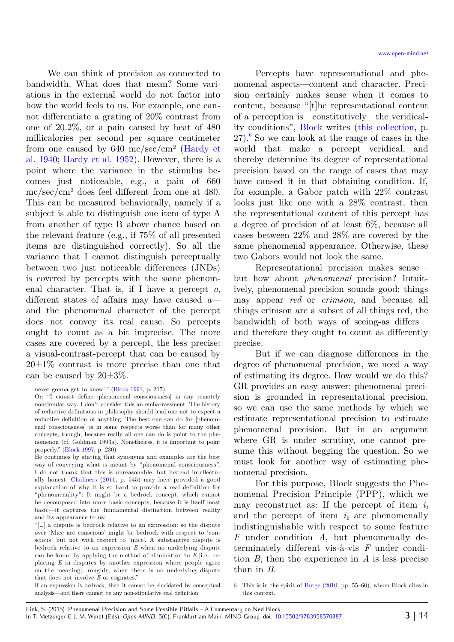<span id="page-2-1"></span>We can think of precision as connected to bandwidth. What does that mean? Some variations in the external world do not factor into how the world feels to us. For example, one cannot differentiate a grating of 20% contrast from one of 20.2%, or a pain caused by heat of 480 millicalories per second per square centimeter from one caused by 640 mc/sec/cm<sup>2</sup> [\(Hardy](#page-12-9) [et](#page-12-9) [al.](#page-12-9) [1940;](#page-12-9) [Hardy](#page-12-8) [et al.](#page-12-8) [1952\)](#page-12-8). However, there is a point where the variance in the stimulus becomes just noticeable, e.g., a pain of 660 mc/sec/cm² does feel different from one at 480. This can be measured behaviorally, namely if a subject is able to distinguish one item of type A from another of type B above chance based on the relevant feature (e.g., if 75% of all presented items are distinguished correctly). So all the variance that I cannot distinguish perceptually between two just noticeable differences (JNDs) is covered by percepts with the same phenomenal character. That is, if I have a percept *a*, different states of affairs may have caused *a* and the phenomenal character of the percept does not convey its real cause. So percepts ought to count as a bit imprecise. The more cases are covered by a percept, the less precise: a visual-contrast-percept that can be caused by  $20\pm1\%$  contrast is more precise than one that can be caused by  $20\pm3\%$ .

He continues by stating that synonyms and examples are the best way of conveying what is meant by "phenomenal consciousness". I do not thank that this is unreasonable, but instead intellectually honest. [Chalmers \(2011,](#page-12-10) p. 545) may have provided a good explanation of why it is so hard to provide a real definition for "phenomenality": It might be a bedrock concept, which cannot be decomposed into more basic concepts, because it is itself most basic—it captures the fundamental distinction between reality and its appearance to us:

"[…] a dispute is bedrock relative to an expression: so the dispute over 'Mice are conscious' might be bedrock with respect to 'conscious' but not with respect to 'mice'. A substantive dispute is bedrock relative to an expression *E* when no underlying dispute can be found by applying the method of elimination to *E* [i.e., replacing *E* in disputes by another expression where people agree on the meaning]: roughly, when there is no underlying dispute that does not involve *E* or cognates."

If an expression is bedrock, then it cannot be elucidated by conceptual analysis—and there cannot be any non-stipulative real definition.

Percepts have representational and phenomenal aspects—content and character. Precision certainly makes sense when it comes to content, because "[t]he representational content of a perception is—constitutively—the veridicality conditions", [Block](#page-12-1) writes [\(this](#page-12-1) [collection,](#page-12-1) p.  $27$ .<sup>[6](#page-2-0)</sup> So we can look at the range of cases in the world that make a percept veridical, and thereby determine its degree of representational precision based on the range of cases that may have caused it in that obtaining condition. If, for example, a Gabor patch with 22% contrast looks just like one with a 28% contrast, then the representational content of this percept has a degree of precision of at least 6%, because all cases between 22% and 28% are covered by the same phenomenal appearance. Otherwise, these two Gabors would not look the same.

Representational precision makes sense but how about *phenomenal* precision? Intuitively, phenomenal precision sounds good: things may appear *red* or *crimson*, and because all things crimson are a subset of all things red, the bandwidth of both ways of seeing-as differs and therefore they ought to count as differently precise.

But if we can diagnose differences in the degree of phenomenal precision, we need a way of estimating its degree. How would we do this? GR provides an easy answer: phenomenal precision is grounded in representational precision, so we can use the same methods by which we estimate representational precision to estimate phenomenal precision. But in an argument where GR is under scrutiny, one cannot presume this without begging the question. So we must look for another way of estimating phenomenal precision.

<span id="page-2-2"></span>For this purpose, Block suggests the Phenomenal Precision Principle (PPP), which we may reconstruct as: If the percept of item  $i_l$ and the percept of item  $i_2$  are phenomenally indistinguishable with respect to some feature *F* under condition *A*, but phenomenally determinately different vis-à-vis *F* under condition *B*, then the experience in *A* is less precise than in *B*.

never gonna get to know.'" [\(Block](#page-12-6) [1991,](#page-12-6) p. 217)

Or: "I cannot define [phenomenal consciousness] in any remotely noncircular way. I don't consider this an embarrassment. The history of reductive definitions in philosophy should lead one not to expect a reductive definition of anything. The best one can do for [phenomenal consciousness] is in some respects worse than for many other concepts, though, because really all one can do is point to the phenomenon (cf. Goldman 1993a). Nonetheless, it is important to point properly." [\(Block](#page-12-5) [1997,](#page-12-5) p. 230)

<span id="page-2-0"></span><sup>6</sup> This is in the spirit of [Burge \(2010,](#page-12-7) pp. 55–60), whom Block cites in this context.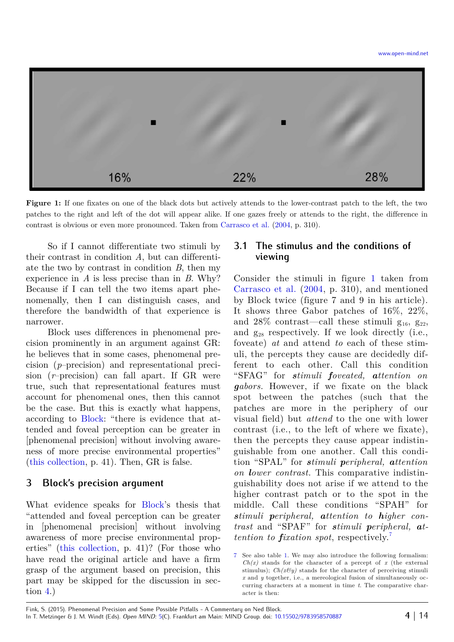

<span id="page-3-1"></span>**Figure 1:** If one fixates on one of the black dots but actively attends to the lower-contrast patch to the left, the two patches to the right and left of the dot will appear alike. If one gazes freely or attends to the right, the difference in contrast is obvious or even more pronounced. Taken from [Carrasco](#page-12-11) [et al. \(2004,](#page-12-11) p. 310).

So if I cannot differentiate two stimuli by their contrast in condition *A*, but can differentiate the two by contrast in condition *B*, then my experience in *A* is less precise than in *B*. Why? Because if I can tell the two items apart phenomenally, then I can distinguish cases, and therefore the bandwidth of that experience is narrower.

Block uses differences in phenomenal precision prominently in an argument against GR: he believes that in some cases, phenomenal precision (*p*–precision) and representational precision (*r*–precision) can fall apart. If GR were true, such that representational features must account for phenomenal ones, then this cannot be the case. But this is exactly what happens, according to [Block:](#page-12-1) "there is evidence that attended and foveal perception can be greater in [phenomenal precision] without involving awareness of more precise environmental properties" [\(this](#page-12-1) [collection,](#page-12-1) p. 41). Then, GR is false.

# <span id="page-3-0"></span>**3 Block's precision argument**

What evidence speaks for [Block'](#page-12-1)s thesis that "attended and foveal perception can be greater in [phenomenal precision] without involving awareness of more precise environmental properties" [\(this](#page-12-1) [collection,](#page-12-1) p. 41)? (For those who have read the original article and have a firm grasp of the argument based on precision, this part may be skipped for the discussion in section [4.](#page-6-0))

# **3.1 The stimulus and the conditions of viewing**

Consider the stimuli in figure [1](#page-3-1) taken from [Carrasco](#page-12-11) [et al.](#page-12-11) ([2004,](#page-12-11) p. 310), and mentioned by Block twice (figure 7 and 9 in his article). It shows three Gabor patches of 16%, 22%, and 28% contrast—call these stimuli  $g_{16}$ ,  $g_{22}$ , and  $g_{28}$  respectively. If we look directly (i.e., foveate) *at* and attend *to* each of these stimuli, the percepts they cause are decidedly different to each other. Call this condition "SFAG" for *stimuli foveated, attention on gabors*. However, if we fixate on the black spot between the patches (such that the patches are more in the periphery of our visual field) but *attend* to the one with lower contrast (i.e., to the left of where we fixate), then the percepts they cause appear indistinguishable from one another. Call this condition "SPAL" for *stimuli peripheral, attention on lower contrast*. This comparative indistinguishability does not arise if we attend to the higher contrast patch or to the spot in the middle. Call these conditions "SPAH" for *stimuli peripheral, attention to higher contrast* and "SPAF" for *stimuli peripheral, attention to fixation spot*, respectively.[7](#page-3-2)

<span id="page-3-2"></span><sup>7</sup> See also table [1.](#page-4-0) We may also introduce the following formalism:  $Ch(x)$  stands for the character of a percept of  $x$  (the external stimulus);  $Ch(x\mathcal{Y}y)$  stands for the character of perceiving stimuli *x* and *y* together, i.e., a mereological fusion of simultaneously occurring characters at a moment in time *t*. The comparative character is then: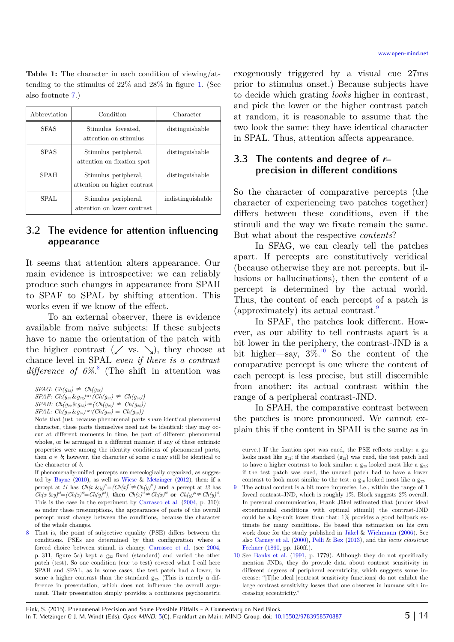<span id="page-4-1"></span><span id="page-4-0"></span>**Table 1:** The character in each condition of viewing/attending to the stimulus of 22% and 28% in figure [1.](#page-3-1) (See also footnote [7.](#page-4-1))

| Abbreviation | Condition                                            | Character         |
|--------------|------------------------------------------------------|-------------------|
| <b>SFAS</b>  | Stimulus foveated.<br>attention on stimulus          | distinguishable   |
| <b>SPAS</b>  | Stimulus peripheral,<br>attention on fixation spot   | distinguishable   |
| <b>SPAH</b>  | Stimulus peripheral,<br>attention on higher contrast | distinguishable   |
| SPAL         | Stimulus peripheral,<br>attention on lower contrast  | indistinguishable |

#### **3.2 The evidence for attention influencing appearance**

It seems that attention alters appearance. Our main evidence is introspective: we can reliably produce such changes in appearance from SPAH to SPAF to SPAL by shifting attention. This works even if we know of the effect.

To an external observer, there is evidence available from naïve subjects: If these subjects have to name the orientation of the patch with the higher contrast ( $\angle$  vs.  $\setminus$ ), they choose at chance level in SPAL *even if there is a contrast* difference of 6%.<sup>[8](#page-4-2)</sup> (The shift in attention was

 $SFAG: Ch(q_{22}) \neq Ch(q_{28})$  $SPAF: Ch(g_{22} \& g_{28}) \approx (Ch(g_{22}) \neq Ch(g_{28}))$  $SPAH: Ch(g_{22} \& g_{28}) \approx (Ch(g_{22}) \neq Ch(g_{28}))$ 

$$
SPAL: Ch(g_{22} \& g_{28}) \approx (Ch(g_{22}) = Ch(g_{28}))
$$

Note that just because phenomenal parts share identical phenomenal character, these parts themselves need not be identical: they may occur at different moments in time, be part of different phenomenal wholes, or be arranged in a different manner; if any of these extrinsic properties were among the identity conditions of phenomenal parts, then  $a \neq b$ ; however, the character of some  $a$  may still be identical to the character of *b*.

If phenomenally-unified percepts are mereologically organized, as suggested by [Bayne \(2010\)](#page-12-16), as well as [Wiese](#page-13-3) & [Metzinger \(2012\)](#page-13-3), then: **if** a percept at *t1* has  $Ch(x \ \& y)^t = (Ch(x)^t \neq Ch(y)^t)$  and a percept at *t2* has  $Ch(x \& y)^{t2} = (Ch(x)^{t2} = Ch(y)^{t2})$ , then  $Ch(x)^{t1} \neq Ch(x)^{t2}$  or  $Ch(y)^{t1} \neq Ch(y)^{t2}$ . This is the case in the experiment by [Carrasco](#page-12-11) [et al. \(2004,](#page-12-11) p. 310); so under these presumptions, the appearances of parts of the overall percept must change between the conditions, because the character of the whole changes.

<span id="page-4-2"></span>8 That is, the point of subjective equality (PSE) differs between the conditions. PSEs are determined by that configuration where a forced choice between stimuli is chancy. [Carrasco](#page-12-11) [et al.](#page-12-11) (see [2004,](#page-12-11) p. 311, figure 5a) kept a  $g_{22}$  fixed (standard) and varied the other patch (test). So one condition (cue to test) covered what I call here SPAH and SPAL, as in some cases, the test patch had a lower, in some a higher contrast than the standard  $g_{22}$ . (This is merely a difference in presentation, which does not influence the overall argument. Their presentation simply provides a continuous psychometric exogenously triggered by a visual cue 27ms prior to stimulus onset.) Because subjects have to decide which grating *looks* higher in contrast, and pick the lower or the higher contrast patch at random, it is reasonable to assume that the two look the same: they have identical character in SPAL. Thus, attention affects appearance.

#### **3.3 The contents and degree of** *r***– precision in different conditions**

So the character of comparative percepts (the character of experiencing two patches together) differs between these conditions, even if the stimuli and the way we fixate remain the same. But what about the respective *contents*?

In SFAG, we can clearly tell the patches apart. If percepts are constitutively veridical (because otherwise they are not percepts, but illusions or hallucinations), then the content of a percept is determined by the actual world. Thus, the content of each percept of a patch is (approximately) its actual contrast.

In SPAF, the patches look different. However, as our ability to tell contrasts apart is a bit lower in the periphery, the contrast-JND is a bit higher—say,  $3\frac{1}{2}$ .<sup>[10](#page-4-4)</sup> So the content of the comparative percept is one where the content of each percept is less precise, but still discernible from another: its actual contrast within the range of a peripheral contrast-JND.

In SPAH, the comparative contrast between the patches is more pronounced. We cannot explain this if the content in SPAH is the same as in

curve.) If the fixation spot was cued, the PSE reflects reality: a  $g_{22}$ looks most like  $g_{22}$ ; if the standard  $(g_{22})$  was cued, the test patch had to have a higher contrast to look similar: a  $g_{28}$  looked most like a  $g_{22}$ ; if the test patch was cued, the uncued patch had to have a lower contrast to look most similar to the test: a  $g_{16}$  looked most like a  $g_{22}$ .

<span id="page-4-3"></span><sup>9</sup> The actual content is a bit more imprecise, i.e., within the range of 1 foveal contrast-JND, which is roughly 1%. Block suggests 2% overall. In personal communication, Frank Jäkel estimated that (under ideal experimental conditions with optimal stimuli) the contrast-JND could be a log-unit lower than that: 1% provides a good ballpark estimate for many conditions. He based this estimation on his own work done for the study published in [Jäkel](#page-12-14) & [Wichmann \(2006\)](#page-12-14). See also [Carney](#page-12-13) [et al. \(2000\)](#page-12-13), [Pelli](#page-13-2) & [Bex \(2013\)](#page-13-2), and the *locus classicus*: [Fechner \(1860,](#page-12-12) pp. 150ff.).

<span id="page-4-4"></span><sup>10</sup> See [Banks et al. \(1991,](#page-12-15) p. 1779). Although they do not specifically mention JNDs, they do provide data about contrast sensitivity in different degrees of peripheral eccentricity, which suggests some increase: "[T]he ideal [contrast sensitivity functions] do not exhibit the large contrast sensitivity losses that one observes in humans with increasing eccentricity."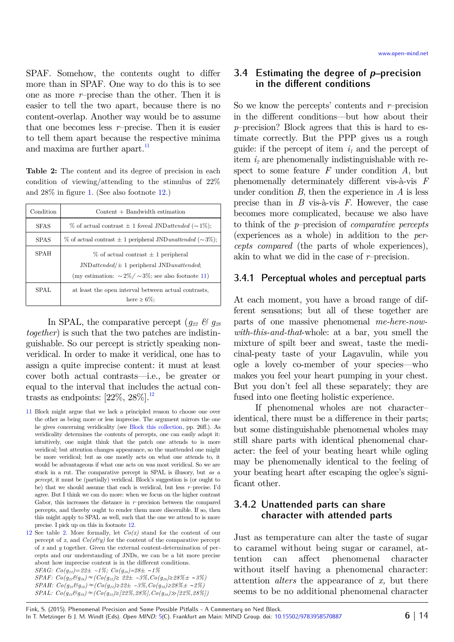SPAF. Somehow, the contents ought to differ more than in SPAF. One way to do this is to see one as more *r*–precise than the other. Then it is easier to tell the two apart, because there is no content-overlap. Another way would be to assume that one becomes less *r*–precise. Then it is easier to tell them apart because the respective minima and maxima are further apart. $11$ 

**Table 2:** The content and its degree of precision in each condition of viewing/attending to the stimulus of 22% and 28% in figure [1.](#page-3-1) (See also footnote [12.](#page-5-0))

| Condition   | $Content + Bandwidth$ estimation                                          |  |
|-------------|---------------------------------------------------------------------------|--|
| <b>SFAS</b> | $\%$ of actual contrast $\pm$ 1 foveal JND <i>attended</i> ( $\sim$ 1\%); |  |
| <b>SPAS</b> | $\%$ of actual contrast $\pm$ 1 peripheral JND unattended ( $\sim$ 3\%);  |  |
| <b>SPAH</b> | $\%$ of actual contrast $\pm$ 1 peripheral                                |  |
|             | $JND$ attended/ $\pm$ 1 peripheral JND unattended;                        |  |
|             | (my estimation: $\sim 2\% / \sim 3\%$ ; see also footnote 11)             |  |
| <b>SPAL</b> | at least the open interval between actual contrasts,<br>here $\geq 6\%$ : |  |
|             |                                                                           |  |

In SPAL, the comparative percept ( $q_{22}$  &  $q_{28}$ *together*) is such that the two patches are indistinguishable. So our percept is strictly speaking nonveridical. In order to make it veridical, one has to assign a quite imprecise content: it must at least cover both actual contrasts—i.e., be greater or equal to the interval that includes the actual contrasts as endpoints:  $[22\%, 28\%]$ .<sup>[12](#page-5-6)</sup>

<span id="page-5-5"></span>11 Block might argue that we lack a principled reason to choose one over the other as being more or less imprecise. The argument mirrors the one he gives concerning veridicality (see [Block](#page-12-1) [this](#page-12-1) [collection,](#page-12-1) pp. 26ff.). As veridicality determines the contents of percepts, one can easily adapt it: intuitively, one might think that the patch one attends to is more veridical; but attention changes appearance, so the unattended one might be more veridical; but as one mostly acts on what one attends to, it would be advantageous if what one acts on was most veridical. So we are stuck in a rut. The comparative percept in SPAL is illusory, but *as a percept*, it must be (partially) veridical. Block's suggestion is (or ought to be) that we should assume that each is veridical, but less *r*–precise. I'd agree. But I think we can do more: when we focus on the higher contrast Gabor, this increases the distance in *r*–precision between the compared percepts, and thereby ought to render them more discernible. If so, then this might apply to SPAL as well, such that the one we attend to is more precise. I pick up on this in footnote [12.](#page-5-2)

<span id="page-5-6"></span><span id="page-5-1"></span>12 See table [2.](#page-5-1) More formally, let *Co(x)* stand for the content of our percept of *x*, and  $Co(x \& y)$  for the content of the comparative percept of *x* and *y* together. Given the external content-determination of percepts and our understanding of JNDs, we can be a bit more precise about how imprecise content is in the different conditions. *SFAG: Co(g22)*=*22*± <sup>~</sup>*1%; Co(g28)*=*28*± *~1% SPAF:*  $Co(g_{22} \mathcal{B} g_{28}) \approx (Co(g_{22}) \geq 22 \pm \sqrt{3} \cdot 3 \cdot 6 \cdot 6 \cdot (g_{28}) \geq 28 \cdot 6 \pm \sqrt{3} \cdot 6 \cdot 6 \cdot (g_{29} \cdot 6 \cdot 6 \cdot (g_{20} \cdot 6 \cdot 6 \cdot 6 \cdot 6 \cdot (g_{21} \cdot 6 \cdot 6 \cdot 6 \cdot 6 \cdot (g_{22} \cdot 6 \cdot 6 \cdot 6 \cdot 6 \cdot (g_{23} \cdot 6 \cdot 6 \cdot 6 \cdot (g_{24} \cdot 6 \cdot 6 \cdot$ *SPAH:*  $Co(g_{22}g_{28}) \approx (Co(g_{22}) \geq 22 \pm \neg 3\% , Co(g_{28}) \geq 28\% \pm \neg 2\%)$ 

*SPAL: Co(g22&g28)*≈*(Co(g22)*≥*[22%,28%],Co(g28)*≫*[22%,28%])*

#### **3.4 Estimating the degree of** *p***–precision in the different conditions**

<span id="page-5-0"></span>So we know the percepts' contents and *r*–precision in the different conditions—but how about their *p*–precision? Block agrees that this is hard to estimate correctly. But the PPP gives us a rough guide: if the percept of item  $i<sub>1</sub>$  and the percept of item *i2* are phenomenally indistinguishable with respect to some feature *F* under condition *A*, but phenomenally determinately different vis-à-vis *F* under condition *B*, then the experience in *A* is less precise than in *B* vis-à-vis *F*. However, the case becomes more complicated, because we also have to think of the *p*–precision of *comparative percepts* (experiences as a whole) in addition to the *percepts compared* (the parts of whole experiences), akin to what we did in the case of *r*–precision.

#### <span id="page-5-4"></span><span id="page-5-3"></span>**3.4.1 Perceptual wholes and perceptual parts**

At each moment, you have a broad range of different sensations; but all of these together are parts of one massive phenomenal *me-here-nowwith-this-and-that*-whole: at a bar, you smell the mixture of spilt beer and sweat, taste the medicinal-peaty taste of your Lagavulin, while you ogle a lovely co-member of your species—who makes you feel your heart pumping in your chest. But you don't feel all these separately; they are fused into one fleeting holistic experience.

If phenomenal wholes are not character– identical, there must be a difference in their parts; but some distinguishable phenomenal wholes may still share parts with identical phenomenal character: the feel of your beating heart while ogling may be phenomenally identical to the feeling of your beating heart after escaping the oglee's significant other.

#### <span id="page-5-7"></span>**3.4.2 Unattended parts can share character with attended parts**

<span id="page-5-2"></span>Just as temperature can alter the taste of sugar to caramel without being sugar or caramel, attention can affect phenomenal character without itself having a phenomenal character: attention *alters* the appearance of *x,* but there seems to be no additional phenomenal character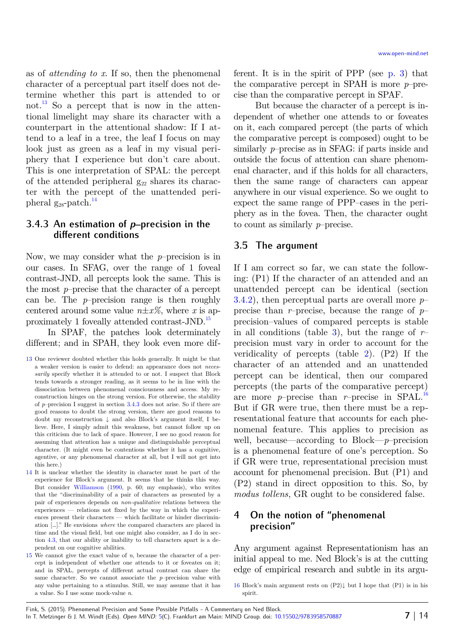as of *attending to x*. If so, then the phenomenal character of a perceptual part itself does not determine whether this part is attended to or not.<sup>[13](#page-6-3)</sup> So a percept that is now in the attentional limelight may share its character with a counterpart in the attentional shadow: If I attend to a leaf in a tree, the leaf I focus on may look just as green as a leaf in my visual periphery that I experience but don't care about. This is one interpretation of SPAL: the percept of the attended peripheral  $g_{22}$  shares its character with the percept of the unattended peripheral  $g_{28}$ -patch.<sup>[14](#page-6-4)</sup>

#### <span id="page-6-2"></span>**3.4.3 An estimation of** *p***–precision in the different conditions**

Now, we may consider what the *p*–precision is in our cases. In SFAG, over the range of 1 foveal contrast-JND, all percepts look the same. This is the most *p*–precise that the character of a percept can be. The *p*–precision range is then roughly centered around some value  $n \pm x\%$ , where *x* is approximately 1 foveally attended contrast-JND.[15](#page-6-5)

In SPAF, the patches look determinately different; and in SPAH, they look even more dif-

<span id="page-6-5"></span>15 We cannot give the exact value of *n*, because the character of a percept is independent of whether one attends to it or foveates on it; and in SPAL, percepts of different actual contrast can share the same character. So we cannot associate the *p*–precision value with any value pertaining to a stimulus. Still, we may assume that it has a value. So I use some mock-value *n*.

ferent. It is in the spirit of PPP (see [p. 3\)](#page-2-1) that the comparative percept in SPAH is more *p*–precise than the comparative percept in SPAF.

But because the character of a percept is independent of whether one attends to or foveates on it, each compared percept (the parts of which the comparative percept is composed) ought to be similarly *p*–precise as in SFAG: if parts inside and outside the focus of attention can share phenomenal character, and if this holds for all characters, then the same range of characters can appear anywhere in our visual experience. So we ought to expect the same range of PPP–cases in the periphery as in the fovea. Then, the character ought to count as similarly *p*–precise.

#### **3.5 The argument**

<span id="page-6-1"></span>If I am correct so far, we can state the following: (P1) If the character of an attended and an unattended percept can be identical (section [3.4.2\)](#page-5-7), then perceptual parts are overall more *p*– precise than *r*–precise, because the range of *p*– precision–values of compared percepts is stable in all conditions (table [3\)](#page-7-0), but the range of *r*– precision must vary in order to account for the veridicality of percepts (table [2\)](#page-6-1). (P2) If the character of an attended and an unattended percept can be identical, then our compared percepts (the parts of the comparative percept) are more *p*–precise than *r*–precise in SPAL.<sup>[16](#page-6-6)</sup> But if GR were true, then there must be a representational feature that accounts for each phenomenal feature. This applies to precision as well, because—according to Block—*p*–precision is a phenomenal feature of one's perception. So if GR were true, representational precision must account for phenomenal precision. But (P1) and (P2) stand in direct opposition to this. So, by *modus tollens*, GR ought to be considered false.

#### <span id="page-6-0"></span>**4 On the notion of "phenomenal precision"**

Any argument against Representationism has an initial appeal to me. Ned Block's is at the cutting edge of empirical research and subtle in its argu-

<span id="page-6-3"></span><sup>13</sup> One reviewer doubted whether this holds generally. It might be that a weaker version is easier to defend: an appearance does not *necessarily* specify whether it is attended to or not. I suspect that Block tends towards a stronger reading, as it seems to be in line with the dissociation between phenomenal consciousness and access. My reconstruction hinges on the strong version. For otherwise, the stability of *p*–precision I suggest in section [3.4.3](#page-6-2) does not arise. So if there are good reasons to doubt the strong version, there are good reasons to doubt my reconstruction ↓ and also Block's argument itself, I believe. Here, I simply admit this weakness, but cannot follow up on this criticism due to lack of space. However, I see no good reason for assuming that attention has a unique and distinguishable perceptual character. (It might even be contentious whether it has a cognitive, agentive, or any phenomenal character at all, but I will not get into this here.)

<span id="page-6-4"></span><sup>14</sup> It is unclear whether the identity in character must be part of the experience for Block's argument. It seems that he thinks this way. But consider [Williamson \(1990,](#page-13-4) p. 60; my emphasis), who writes that the "discriminability of a pair of characters as presented by a pair of experiences depends on *non-qualitative* relations between the experiences — relations not fixed by the way in which the experiences present their characters — which facilitate or hinder discrimination […]." He envisions *where* the compared characters are placed in time and the visual field, but one might also consider, as I do in section [4.3,](#page-9-0) that our ability or inability to tell characters apart is a dependent on our cognitive abilities.

<span id="page-6-6"></span><sup>16</sup> Block's main argument rests on  $(P2)$  but I hope that  $(P1)$  is in his spirit.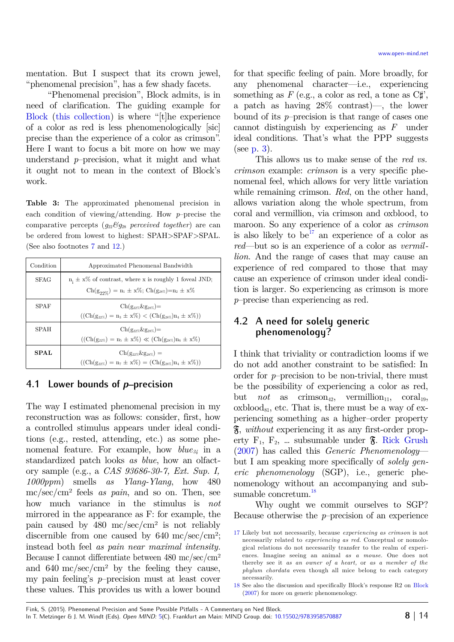[www.open-mind.net](http://www.open-mind.net/)

mentation. But I suspect that its crown jewel, "phenomenal precision", has a few shady facets.

"Phenomenal precision", Block admits, is in need of clarification. The guiding example for [Block \(this collection\)](#page-12-1) is where "[t]he experience of a color as red is less phenomenologically [sic] precise than the experience of a color as crimson". Here I want to focus a bit more on how we may understand *p*–precision, what it might and what it ought not to mean in the context of Block's work.

<span id="page-7-0"></span>**Table 3:** The approximated phenomenal precision in each condition of viewing/attending. How *p*–precise the comparative percepts  $(q_{22}\mathcal{C}q_{28})$  perceived together) are can be ordered from lowest to highest: SPAH>SPAF>SPAL. (See also footnotes [7](#page-7-2) and [12.](#page-7-1))

<span id="page-7-2"></span><span id="page-7-1"></span>

| Condition   | Approximated Phenomenal Bandwidth                             |  |
|-------------|---------------------------------------------------------------|--|
| <b>SFAG</b> | $n, \pm x\%$ of contrast, where x is roughly 1 foveal JND;    |  |
|             | $Ch(g_{22\%}) = n_1 \pm x\%$ ; $Ch(g_{28\%}) = n_2 \pm x\%$   |  |
| <b>SPAF</b> | $\text{Ch}(g_{22\%}\&g_{28\%})=$                              |  |
|             | $((Ch(g_{22\%}) = n_3 \pm x\%) < (Ch(g_{28\%})n_4 \pm x\%)$   |  |
| <b>SPAH</b> | $\text{Ch}(\mathfrak{g}_{22\%}\&\mathfrak{g}_{28\%})=$        |  |
|             | $((Ch(g_{22\%}) = n_5 \pm x\%) \ll (Ch(g_{28\%})n_6 \pm x\%)$ |  |
| <b>SPAL</b> | $\text{Ch}(g_{22\%}\&g_{28\%}) =$                             |  |
|             | $((Ch(g_{22\%}) = n_7 \pm x\%) = (Ch(g_{28\%})n_4 \pm x\%)$   |  |

#### **4.1 Lower bounds of** *p***–precision**

The way I estimated phenomenal precision in my reconstruction was as follows: consider, first, how a controlled stimulus appears under ideal conditions (e.g., rested, attending, etc.) as some phenomenal feature. For example, how *blue34* in a standardized patch looks *as blue*, how an olfactory sample (e.g., a *CAS 93686-30-7, Ext. Sup. I, 1000ppm*) smells *as Ylang-Ylang*, how 480 mc/sec/cm² feels *as pain*, and so on. Then, see how much variance in the stimulus is *not* mirrored in the appearance as F: for example, the pain caused by  $480 \text{ mc/sec/cm}^2$  is not reliably discernible from one caused by 640 mc/sec/cm<sup>2</sup>; instead both feel *as pain near maximal intensity*. Because I cannot differentiate between 480 mc/sec/cm² and  $640 \text{ mc/sec/cm}^2$  by the feeling they cause, my pain feeling's *p*–precision must at least cover these values. This provides us with a lower bound for that specific feeling of pain. More broadly, for any phenomenal character—i.e., experiencing something as  $F$  (e.g., a color as red, a tone as  $C\sharp$ <sup>'</sup>, a patch as having 28% contrast)—, the lower bound of its *p*–precision is that range of cases one cannot distinguish by experiencing as *F* under ideal conditions. That's what the PPP suggests (see [p.](#page-1-4) [3\)](#page-2-2).

This allows us to make sense of the *red vs. crimson* example: *crimson* is a very specific phenomenal feel, which allows for very little variation while remaining crimson. *Red*, on the other hand, allows variation along the whole spectrum, from coral and vermillion, via crimson and oxblood, to maroon. So any experience of a color as *crimson* is also likely to be<sup>[17](#page-7-3)</sup> an experience of a color as *red*—but so is an experience of a color as *vermillion*. And the range of cases that may cause an experience of red compared to those that may cause an experience of crimson under ideal condition is larger. So experiencing as crimson is more *p*–precise than experiencing as red.

# **4.2 A need for solely generic phenomenology?**

I think that triviality or contradiction looms if we do not add another constraint to be satisfied: In order for *p*–precision to be non-trivial, there must be the possibility of experiencing a color as red, but *not* as crimson<sub>42</sub>, vermillion<sub>11</sub>, coral<sub>19</sub>,  $\alpha$ s oxblood<sub>81</sub>, etc. That is, there must be a way of experiencing something as a higher–order property F, *without* experiencing it as any first-order property  $F_1, F_2, ...$  subsumable under  $\mathfrak{F}$ . [Rick](#page-12-18) [Grush](#page-12-18) [\(2007\)](#page-12-18) has called this *Generic Phenomenology* but I am speaking more specifically of *solely generic phenomenology* (SGP), i.e., generic phenomenology without an accompanying and sub-sumable concretum.<sup>[18](#page-7-4)</sup>

Why ought we commit ourselves to SGP? Because otherwise the *p*–precision of an experience

<span id="page-7-3"></span><sup>17</sup> Likely but not necessarily, because *experiencing as crimson* is not necessarily related to *experiencing as red*. Conceptual or nomological relations do not necessarily transfer to the realm of experiences. Imagine seeing an animal *as a mouse*. One does not thereby see it *as an owner of a heart,* or *as a member of the phylum chordata* even though all mice belong to each category necessarily.

<span id="page-7-4"></span><sup>18</sup> See also the discussion and specifically Block's response R2 on [Block](#page-12-17) [\(2007\)](#page-12-17) for more on generic phenomenology.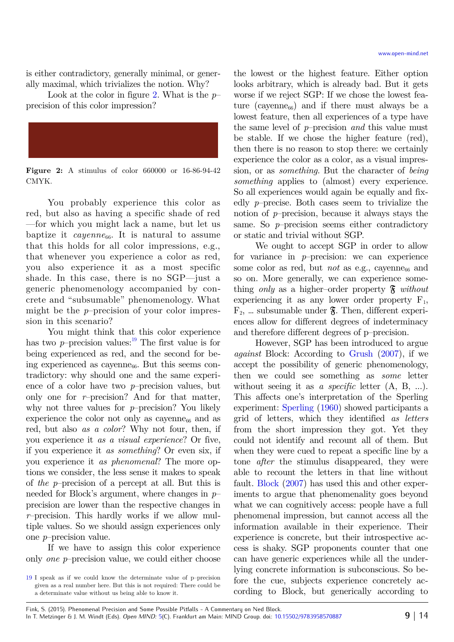is either contradictory, generally minimal, or generally maximal, which trivializes the notion. Why?

Look at the color in figure [2.](#page-8-0) What is the *p*– precision of this color impression?



**Figure 2:** A stimulus of color 660000 or 16-86-94-42 CMYK.

<span id="page-8-0"></span>You probably experience this color as red, but also as having a specific shade of red —for which you might lack a name, but let us baptize it *cayenne*<sub>66</sub>. It is natural to assume that this holds for all color impressions, e.g., that whenever you experience a color as red, you also experience it as a most specific shade. In this case, there is no SGP—just a generic phenomenology accompanied by concrete and "subsumable" phenomenology. What might be the *p*–precision of your color impression in this scenario?

You might think that this color experience has two  $p$ –precision values:<sup>[19](#page-8-1)</sup> The first value is for being experienced as red, and the second for being experienced as cayenne $_{66}$ . But this seems contradictory: why should one and the same experience of a color have two *p*–precision values, but only one for *r*–precision? And for that matter, why not three values for *p*–precision? You likely experience the color not only as cay enne<sub>66</sub> and as red, but also *as a color*? Why not four, then, if you experience it *as a visual experience*? Or five, if you experience it *as something*? Or even six, if you experience it *as phenomenal*? The more options we consider, the less sense it makes to speak of *the p*–precision of a percept at all. But this is needed for Block's argument, where changes in *p*– precision are lower than the respective changes in *r*–precision. This hardly works if we allow multiple values. So we should assign experiences only one *p*–precision value.

If we have to assign this color experience only *one p*–precision value, we could either choose the lowest or the highest feature. Either option looks arbitrary, which is already bad. But it gets worse if we reject SGP: If we chose the lowest feature (cayenne<sub>66</sub>) and if there must always be a lowest feature, then all experiences of a type have the same level of *p*–precision *and* this value must be stable. If we chose the higher feature (red), then there is no reason to stop there: we certainly experience the color as a color, as a visual impression, or as *something*. But the character of *being something* applies to (almost) every experience. So all experiences would again be equally and fixedly *p*–precise. Both cases seem to trivialize the notion of *p*–precision, because it always stays the same. So *p*–precision seems either contradictory or static and trivial without SGP.

We ought to accept SGP in order to allow for variance in *p*–precision: we can experience some color as red, but *not* as e.g., cayenne<sub>66</sub> and so on. More generally, we can experience something *only* as a higher–order property F *without* experiencing it as any lower order property  $F_1$ ,  $F_2$ , ... subsumable under  $\mathfrak{F}$ . Then, different experiences allow for different degrees of indeterminacy and therefore different degrees of p–precision.

However, SGP has been introduced to argue *against* Block: According to [Grush \(2007\)](#page-12-18), if we accept the possibility of generic phenomenology, then we could see something as *some* letter without seeing it as *a specific* letter  $(A, B, ...)$ . This affects one's interpretation of the Sperling experiment: [Sperling \(1960\)](#page-13-5) showed participants a grid of letters, which they identified *as letters* from the short impression they got. Yet they could not identify and recount all of them. But when they were cued to repeat a specific line by a tone *after* the stimulus disappeared, they were able to recount the letters in that line without fault. [Block \(2007\)](#page-12-17) has used this and other experiments to argue that phenomenality goes beyond what we can cognitively access: people have a full phenomenal impression, but cannot access all the information available in their experience. Their experience is concrete, but their introspective access is shaky. SGP proponents counter that one can have generic experiences while all the underlying concrete information is subconscious. So before the cue, subjects experience concretely according to Block, but generically according to

<span id="page-8-1"></span><sup>19</sup> I speak as if we could know the determinate value of p–precision given as a real number here. But this is not required: There could be a determinate value without us being able to know it.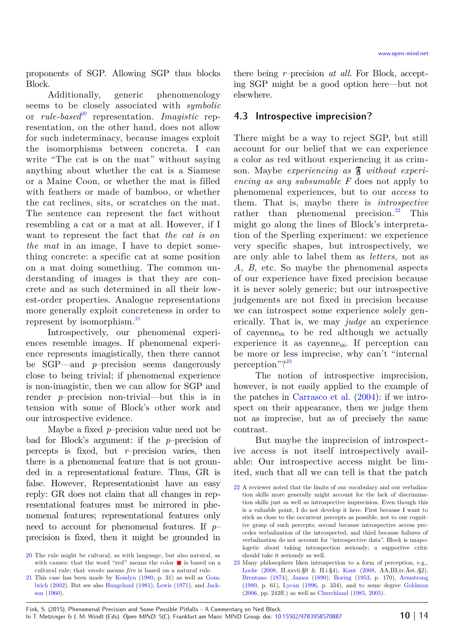proponents of SGP. Allowing SGP thus blocks Block.

Additionally, generic phenomenology seems to be closely associated with *symbolic* or *rule-based*[20](#page-9-1) representation. *Imagistic* representation, on the other hand, does not allow for such indeterminacy, because images exploit the isomorphisms between concreta. I can write "The cat is on the mat" without saying anything about whether the cat is a Siamese or a Maine Coon, or whether the mat is filled with feathers or made of bamboo, or whether the cat reclines, sits, or scratches on the mat. The sentence can represent the fact without resembling a cat or a mat at all. However, if I want to represent the fact that *the cat is on the mat* in an image, I have to depict something concrete: a specific cat at some position on a mat doing something. The common understanding of images is that they are concrete and as such determined in all their lowest-order properties. Analogue representations more generally exploit concreteness in order to represent by isomorphism.<sup>[21](#page-9-2)</sup>

Introspectively, our phenomenal experiences resemble images. If phenomenal experience represents imagistically, then there cannot be SGP—and *p*–precision seems dangerously close to being trivial; if phenomenal experience is non-imagistic, then we can allow for SGP and render *p*–precision non-trivial—but this is in tension with some of Block's other work and our introspective evidence.

Maybe a fixed *p*–precision value need not be bad for Block's argument: if the *p*–precision of percepts is fixed, but *r*–precision varies, then there is a phenomenal feature that is not grounded in a representational feature. Thus, GR is false. However, Representationist have an easy reply: GR does not claim that all changes in representational features must be mirrored in phenomenal features; representational features only need to account for phenomenal features. If *p*– precision is fixed, then it might be grounded in there being *r*–precision *at all*. For Block, accepting SGP might be a good option here—but not elsewhere.

#### <span id="page-9-0"></span>**4.3 Introspective imprecision?**

There might be a way to reject SGP, but still account for our belief that we can experience a color as red without experiencing it as crimson. Maybe *experiencing as* F *without experiencing as any subsumable F* does not apply to phenomenal experiences, but to our *access* to them. That is, maybe there is *introspective* rather than phenomenal precision.<sup>[22](#page-9-3)</sup> This might go along the lines of Block's interpretation of the Sperling experiment: we experience very specific shapes, but introspectively, we are only able to label them as *letters*, not as *A*, *B*, etc. So maybe the phenomenal aspects of our experience have fixed precision because it is never solely generic; but our introspective judgements are not fixed in precision because we can introspect some experience solely generically. That is, we may *judge* an experience of cayenne<sub>66</sub> to be red although we actually experience it as cayenne<sub>66</sub>. If perception can be more or less imprecise, why can't "internal perception"?[23](#page-9-4)

The notion of introspective imprecision, however, is not easily applied to the example of the patches in [Carrasco](#page-12-11) [et al. \(2004\)](#page-12-11): if we introspect on their appearance, then we judge them not as imprecise, but as of precisely the same contrast.

But maybe the imprecision of introspective access is not itself introspectively available: Our introspective access might be limited, such that all we can tell is that the patch

<span id="page-9-1"></span><sup>20</sup> The rule might be cultural, as with language, but also natural, as with causes: that the word "red" means the color ■ is based on a cultural rule; that *smoke* means *fire* is based on a natural rule.

<span id="page-9-2"></span><sup>21</sup> This case has been made by [Kosslyn \(1980,](#page-12-23) p. 31) as well as [Gom](#page-12-22)[brich \(2002\)](#page-12-22). But see also [Haugeland \(1981\)](#page-12-21), [Lewis \(1971\)](#page-12-20), and [Jack](#page-12-19)[son \(1960\)](#page-12-19).

<span id="page-9-3"></span><sup>22</sup> A reviewer noted that the limits of our vocabulary and our verbalization skills more generally might account for the lack of discrimination skills just as well as introspective imprecision. Even though this is a valuable point, I do not develop it here. First because I want to stick as close to the occurrent percepts as possible, not to our cognitive grasp of such percepts; second because introspective access precedes verbalization of the introspected; and third because failures of verbalization do not account for "introspective data". Block is unapologetic about taking introspection seriously; a supportive critic should take it seriously as well.

<span id="page-9-4"></span><sup>23</sup> Many philosophers liken introspection to a form of perception, e.g., [Locke \(2008,](#page-12-33) II.xxvii.§9 & II.i.§4), [Kant \(2008,](#page-12-32) AA,III,tr.Äst.,§2), [Brentano \(1874\)](#page-12-31), [James \(1890\)](#page-12-30), [Boring \(1953,](#page-12-29) p. 170), [Armstrong](#page-12-28) [\(1980,](#page-12-28) p. 61), [Lycan \(1996,](#page-12-27) p. 334), and to some degree [Goldman](#page-12-26) [\(2006,](#page-12-26) pp. 242ff.) as well as [Churchland \(1985,](#page-12-25) [2005\)](#page-12-24).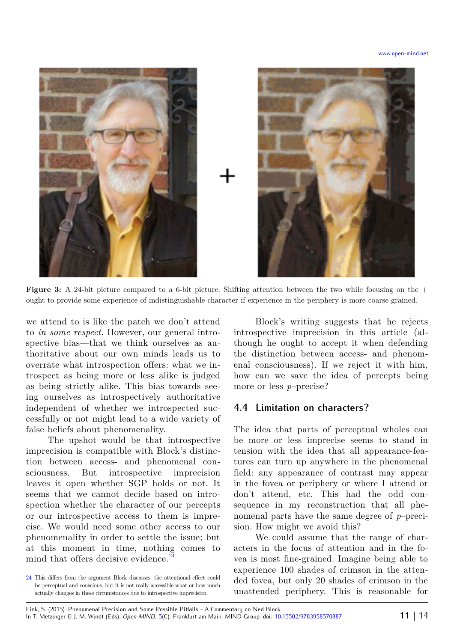



**Figure 3:** A 24-bit picture compared to a 6-bit picture. Shifting attention between the two while focusing on the + ought to provide some experience of indistinguishable character if experience in the periphery is more coarse grained.

<span id="page-10-1"></span>we attend to is like the patch we don't attend to *in some respect*. However, our general introspective bias—that we think ourselves as authoritative about our own minds leads us to overrate what introspection offers: what we introspect as being more or less alike is judged as being strictly alike. This bias towards seeing ourselves as introspectively authoritative independent of whether we introspected successfully or not might lead to a wide variety of false beliefs about phenomenality.

The upshot would be that introspective imprecision is compatible with Block's distinction between access- and phenomenal consciousness. But introspective imprecision leaves it open whether SGP holds or not. It seems that we cannot decide based on introspection whether the character of our percepts or our introspective access to them is imprecise. We would need some other access to our phenomenality in order to settle the issue; but at this moment in time, nothing comes to mind that offers decisive evidence.<sup>2</sup>

Block's writing suggests that he rejects introspective imprecision in this article (although he ought to accept it when defending the distinction between access- and phenomenal consciousness). If we reject it with him, how can we save the idea of percepts being more or less *p*–precise?

# **4.4 Limitation on characters?**

The idea that parts of perceptual wholes can be more or less imprecise seems to stand in tension with the idea that all appearance-features can turn up anywhere in the phenomenal field: any appearance of contrast may appear in the fovea or periphery or where I attend or don't attend, etc. This had the odd consequence in my reconstruction that all phenomenal parts have the same degree of *p*–precision. How might we avoid this?

We could assume that the range of characters in the focus of attention and in the fovea is most fine-grained. Imagine being able to experience 100 shades of crimson in the attended fovea, but only 20 shades of crimson in the unattended periphery. This is reasonable for

<span id="page-10-0"></span><sup>24</sup> This differs from the argument Block discusses: the attentional effect could be perceptual and conscious, but it is not really accessible what or how much actually changes in these circumstances due to introspective imprecision.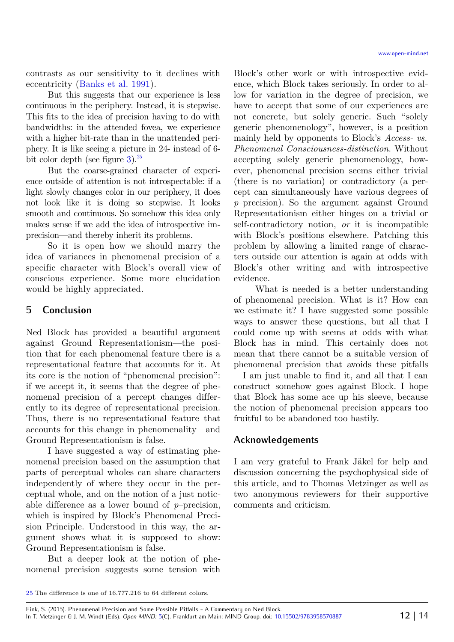contrasts as our sensitivity to it declines with eccentricity [\(Banks](#page-12-15) [et al.](#page-12-15) [1991\)](#page-12-15).

But this suggests that our experience is less continuous in the periphery. Instead, it is stepwise. This fits to the idea of precision having to do with bandwidths: in the attended fovea, we experience with a higher bit-rate than in the unattended periphery. It is like seeing a picture in 24- instead of 6- bit color depth (see figure [3\)](#page-10-1). $^{25}$  $^{25}$  $^{25}$ 

But the coarse-grained character of experience outside of attention is not introspectable: if a light slowly changes color in our periphery, it does not look like it is doing so stepwise. It looks smooth and continuous. So somehow this idea only makes sense if we add the idea of introspective imprecision—and thereby inherit its problems.

So it is open how we should marry the idea of variances in phenomenal precision of a specific character with Block's overall view of conscious experience. Some more elucidation would be highly appreciated.

# **5 Conclusion**

Ned Block has provided a beautiful argument against Ground Representationism—the position that for each phenomenal feature there is a representational feature that accounts for it. At its core is the notion of "phenomenal precision": if we accept it, it seems that the degree of phenomenal precision of a percept changes differently to its degree of representational precision. Thus, there is no representational feature that accounts for this change in phenomenality—and Ground Representationism is false.

I have suggested a way of estimating phenomenal precision based on the assumption that parts of perceptual wholes can share characters independently of where they occur in the perceptual whole, and on the notion of a just noticable difference as a lower bound of *p*–precision, which is inspired by Block's Phenomenal Precision Principle. Understood in this way, the argument shows what it is supposed to show: Ground Representationism is false.

But a deeper look at the notion of phenomenal precision suggests some tension with

Block's other work or with introspective evidence, which Block takes seriously. In order to allow for variation in the degree of precision, we have to accept that some of our experiences are not concrete, but solely generic. Such "solely generic phenomenology", however, is a position mainly held by opponents to Block's *Access- vs. Phenomenal Consciousness-distinction*. Without accepting solely generic phenomenology, however, phenomenal precision seems either trivial (there is no variation) or contradictory (a percept can simultaneously have various degrees of *p*–precision). So the argument against Ground Representationism either hinges on a trivial or self-contradictory notion, *or* it is incompatible with Block's positions elsewhere. Patching this problem by allowing a limited range of characters outside our attention is again at odds with Block's other writing and with introspective evidence.

What is needed is a better understanding of phenomenal precision. What is it? How can we estimate it? I have suggested some possible ways to answer these questions, but all that I could come up with seems at odds with what Block has in mind. This certainly does not mean that there cannot be a suitable version of phenomenal precision that avoids these pitfalls —I am just unable to find it, and all that I can construct somehow goes against Block. I hope that Block has some ace up his sleeve, because the notion of phenomenal precision appears too fruitful to be abandoned too hastily.

# **Acknowledgements**

I am very grateful to Frank Jäkel for help and discussion concerning the psychophysical side of this article, and to Thomas Metzinger as well as two anonymous reviewers for their supportive comments and criticism.

<span id="page-11-0"></span><sup>25</sup> The difference is one of 16.777.216 to 64 different colors.

Fink, S. (2015). Phenomenal Precision and Some Possible Pitfalls - A Commentary on Ned Block. In T. Metzinger & J. M. Windt (Eds). *Open MIND:* [5\(](http://www.open-mind.net/papers/@@chapters?nr=5)C). Frankfurt am Main: MIND Group. doi: [10.15502/9783958570887](http://dx.doi.org/10.15502/9783958570887) **12** | 14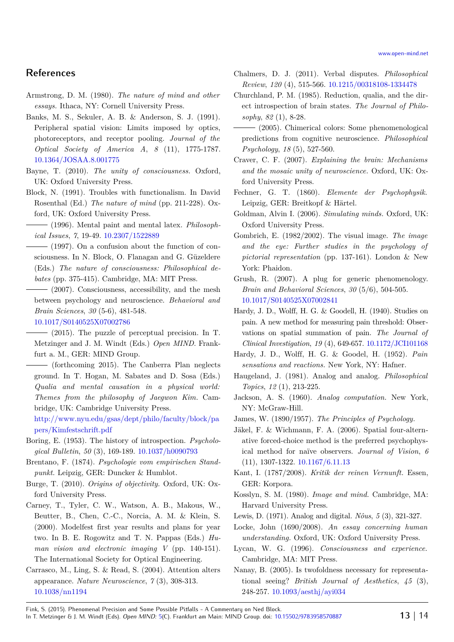#### **References**

<span id="page-12-28"></span>Armstrong, D. M. (1980). *The nature of mind and other essays.* Ithaca, NY: Cornell University Press.

<span id="page-12-15"></span>Banks, M. S., Sekuler, A. B. & Anderson, S. J. (1991). Peripheral spatial vision: Limits imposed by optics, photoreceptors, and receptor pooling. *Journal of the Optical Society of America A*, *8* (11), 1775-1787. [10.1364/JOSAA.8.001775](http://dx.doi.org/10.1364/JOSAA.8.001775)

<span id="page-12-16"></span>Bayne, T. (2010). *The unity of consciousness.* Oxford, UK: Oxford University Press.

<span id="page-12-6"></span>Block, N. (1991). Troubles with functionalism. In David Rosenthal (Ed.) *The nature of mind* (pp. 211-228). Oxford, UK: Oxford University Press.

<span id="page-12-2"></span> (1996). Mental paint and mental latex. *Philosophical Issues*, *7*, 19-49. [10.2307/1522889](http://dx.doi.org/10.2307/1522889)

<span id="page-12-5"></span> $-$  (1997). On a confusion about the function of consciousness. In N. Block, O. Flanagan and G. Güzeldere (Eds.) *The nature of consciousness: Philosophical debates* (pp. 375-415). Cambridge, MA: MIT Press.

<span id="page-12-17"></span> (2007). Consciousness, accessibility, and the mesh between psychology and neuroscience. *Behavioral and Brain Sciences*, *30* (5-6), 481-548.

[10.1017/S0140525X07002786](http://dx.doi.org/10.1017/S0140525X07002786)

<span id="page-12-1"></span> $-$  (2015). The puzzle of perceptual precision. In T. Metzinger and J. M. Windt (Eds.) *Open MIND*. Frankfurt a. M., GER: MIND Group.

<span id="page-12-4"></span> (forthcoming 2015). The Canberra Plan neglects ground. In T. Hogan, M. Sabates and D. Sosa (Eds.) *Qualia and mental causation in a physical world: Themes from the philosophy of Jaegwon Kim*. Cambridge, UK: Cambridge University Press.

http://www.nyu.edu/gsas/dept/philo/faculty/block/pa pers/Kimfestschrift.pdf

- <span id="page-12-29"></span>Boring, E. (1953). The history of introspection. *Psychological Bulletin*, *50* (3), 169-189. [10.1037/h0090793](http://dx.doi.org/10.1037/h0090793)
- <span id="page-12-31"></span>Brentano, F. (1874). *Psychologie vom empirischen Standpunkt.* Leipzig, GER: Duncker & Humblot.
- <span id="page-12-7"></span>Burge, T. (2010). *Origins of objectivity.* Oxford, UK: Oxford University Press.
- <span id="page-12-13"></span>Carney, T., Tyler, C. W., Watson, A. B., Makous, W., Beutter, B., Chen, C.-C., Norcia, A. M. & Klein, S. (2000). Modelfest first year results and plans for year two. In B. E. Rogowitz and T. N. Pappas (Eds.) *Human vision and electronic imaging V* (pp. 140-151). The International Society for Optical Engineering.
- <span id="page-12-11"></span>Carrasco, M., Ling, S. & Read, S. (2004). Attention alters appearance. *Nature Neuroscience*, *7* (3), 308-313. [10.1038/nn1194](http://dx.doi.org/10.1038/nn1194)

<span id="page-12-10"></span>Chalmers, D. J. (2011). Verbal disputes. *Philosophical Review*, *120* (4), 515-566. [10.1215/00318108-1334478](http://dx.doi.org/10.1215/00318108-1334478)

- <span id="page-12-25"></span>Churchland, P. M. (1985). Reduction, qualia, and the direct introspection of brain states. *The Journal of Philosophy*, *82* (1), 8-28.
- <span id="page-12-24"></span> (2005). Chimerical colors: Some phenomenological predictions from cognitive neuroscience. *Philosophical Psychology*, *18* (5), 527-560.
- <span id="page-12-3"></span>Craver, C. F. (2007). *Explaining the brain: Mechanisms and the mosaic unity of neuroscience.* Oxford, UK: Oxford University Press.
- <span id="page-12-12"></span>Fechner, G. T. (1860). *Elemente der Psychophysik.* Leipzig, GER: Breitkopf & Härtel.
- <span id="page-12-26"></span>Goldman, Alvin I. (2006). *Simulating minds.* Oxford, UK: Oxford University Press.
- <span id="page-12-22"></span>Gombrich, E. (1982/2002). The visual image. *The image and the eye: Further studies in the psychology of pictorial representation* (pp. 137-161). London & New York: Phaidon.
- <span id="page-12-18"></span>Grush, R. (2007). A plug for generic phenomenology. *Brain and Behavioral Sciences*, *30* (5/6), 504-505. [10.1017/S0140525X07002841](http://dx.doi.org/10.1017/S0140525X07002841)

<span id="page-12-9"></span>Hardy, J. D., Wolff, H. G. & Goodell, H. (1940). Studies on pain. A new method for measuring pain threshold: Observations on spatial summation of pain. *The Journal of Clinical Investigation*, *19* (4), 649-657. [10.1172/JCI101168](http://dx.doi.org/10.1172/JCI101168)

- <span id="page-12-8"></span>Hardy, J. D., Wolff, H. G. & Goodel, H. (1952). *Pain sensations and reactions.* New York, NY: Hafner.
- <span id="page-12-21"></span>Haugeland, J. (1981). Analog and analog. *Philosophical Topics*, *12* (1), 213-225.
- <span id="page-12-19"></span>Jackson, A. S. (1960). *Analog computation.* New York, NY: McGraw-Hill.
- <span id="page-12-30"></span>James, W. (1890/1957). *The Principles of Psychology.*

<span id="page-12-14"></span>Jäkel, F. & Wichmann, F. A. (2006). Spatial four-alternative forced-choice method is the preferred psychophysical method for naïve observers. *Journal of Vision*, *6* (11), 1307-1322. [10.1167/6.11.13](http://dx.doi.org/10.1167/6.11.13)

- <span id="page-12-32"></span>Kant, I. (1787/2008). *Kritik der reinen Vernunft.* Essen, GER: Korpora.
- <span id="page-12-23"></span>Kosslyn, S. M. (1980). *Image and mind.* Cambridge, MA: Harvard University Press.
- <span id="page-12-20"></span>Lewis, D. (1971). Analog and digital. *Nôus*, *5* (3), 321-327.
- <span id="page-12-33"></span>Locke, John (1690/2008). *An essay concerning human understanding.* Oxford, UK: Oxford University Press.
- <span id="page-12-27"></span>Lycan, W. G. (1996). *Consciousness and experience.* Cambridge, MA: MIT Press.
- <span id="page-12-0"></span>Nanay, B. (2005). Is twofoldness necessary for representational seeing? *British Journal of Aesthetics*, *45* (3), 248-257. [10.1093/aesthj/ayi034](http://dx.doi.org/10.1093/aesthj/ayi034)

Fink, S. (2015). Phenomenal Precision and Some Possible Pitfalls - A Commentary on Ned Block. In T. Metzinger & J. M. Windt (Eds). *Open MIND:* [5\(](http://www.open-mind.net/papers/@@chapters?nr=5)C). Frankfurt am Main: MIND Group. doi: [10.15502/9783958570887](http://dx.doi.org/10.15502/9783958570887) **13** | 14